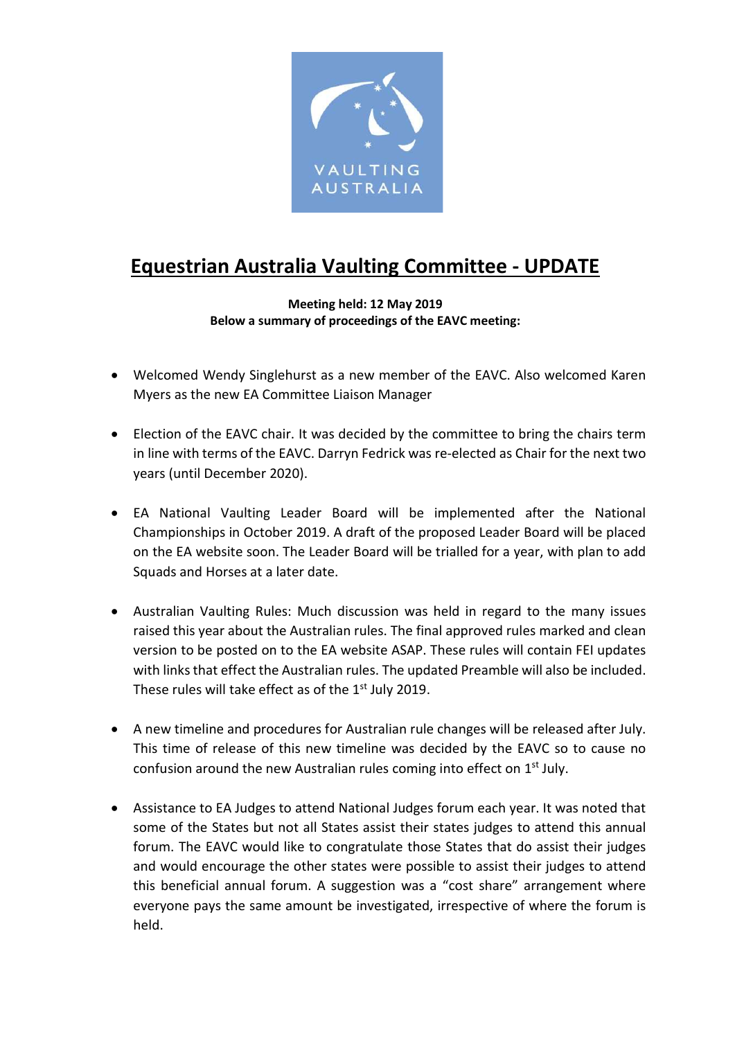

## Equestrian Australia Vaulting Committee - UPDATE

## Meeting held: 12 May 2019 Below a summary of proceedings of the EAVC meeting:

- Welcomed Wendy Singlehurst as a new member of the EAVC. Also welcomed Karen Myers as the new EA Committee Liaison Manager
- Election of the EAVC chair. It was decided by the committee to bring the chairs term in line with terms of the EAVC. Darryn Fedrick was re-elected as Chair for the next two years (until December 2020).
- EA National Vaulting Leader Board will be implemented after the National Championships in October 2019. A draft of the proposed Leader Board will be placed on the EA website soon. The Leader Board will be trialled for a year, with plan to add Squads and Horses at a later date.
- Australian Vaulting Rules: Much discussion was held in regard to the many issues raised this year about the Australian rules. The final approved rules marked and clean version to be posted on to the EA website ASAP. These rules will contain FEI updates with links that effect the Australian rules. The updated Preamble will also be included. These rules will take effect as of the 1st July 2019.
- A new timeline and procedures for Australian rule changes will be released after July. This time of release of this new timeline was decided by the EAVC so to cause no confusion around the new Australian rules coming into effect on  $1<sup>st</sup>$  July.
- Assistance to EA Judges to attend National Judges forum each year. It was noted that some of the States but not all States assist their states judges to attend this annual forum. The EAVC would like to congratulate those States that do assist their judges and would encourage the other states were possible to assist their judges to attend this beneficial annual forum. A suggestion was a "cost share" arrangement where everyone pays the same amount be investigated, irrespective of where the forum is held.